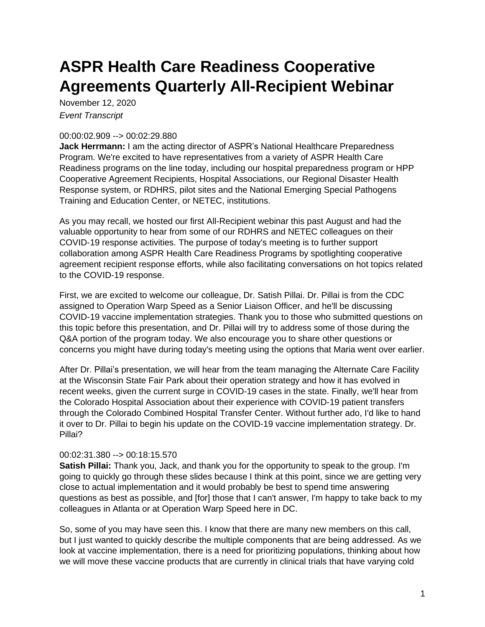# **ASPR Health Care Readiness Cooperative Agreements Quarterly All-Recipient Webinar**

November 12, 2020 *Event Transcript*

## 00:00:02.909 --> 00:02:29.880

**Jack Herrmann:** I am the acting director of ASPR's National Healthcare Preparedness Program. We're excited to have representatives from a variety of ASPR Health Care Readiness programs on the line today, including our hospital preparedness program or HPP Cooperative Agreement Recipients, Hospital Associations, our Regional Disaster Health Response system, or RDHRS, pilot sites and the National Emerging Special Pathogens Training and Education Center, or NETEC, institutions.

As you may recall, we hosted our first All-Recipient webinar this past August and had the valuable opportunity to hear from some of our RDHRS and NETEC colleagues on their COVID-19 response activities. The purpose of today's meeting is to further support collaboration among ASPR Health Care Readiness Programs by spotlighting cooperative agreement recipient response efforts, while also facilitating conversations on hot topics related to the COVID-19 response.

First, we are excited to welcome our colleague, Dr. Satish Pillai. Dr. Pillai is from the CDC assigned to Operation Warp Speed as a Senior Liaison Officer, and he'll be discussing COVID-19 vaccine implementation strategies. Thank you to those who submitted questions on this topic before this presentation, and Dr. Pillai will try to address some of those during the Q&A portion of the program today. We also encourage you to share other questions or concerns you might have during today's meeting using the options that Maria went over earlier.

After Dr. Pillai's presentation, we will hear from the team managing the Alternate Care Facility at the Wisconsin State Fair Park about their operation strategy and how it has evolved in recent weeks, given the current surge in COVID-19 cases in the state. Finally, we'll hear from the Colorado Hospital Association about their experience with COVID-19 patient transfers through the Colorado Combined Hospital Transfer Center. Without further ado, I'd like to hand it over to Dr. Pillai to begin his update on the COVID-19 vaccine implementation strategy. Dr. Pillai?

# 00:02:31.380 --> 00:18:15.570

**Satish Pillai:** Thank you, Jack, and thank you for the opportunity to speak to the group. I'm going to quickly go through these slides because I think at this point, since we are getting very close to actual implementation and it would probably be best to spend time answering questions as best as possible, and [for] those that I can't answer, I'm happy to take back to my colleagues in Atlanta or at Operation Warp Speed here in DC.

So, some of you may have seen this. I know that there are many new members on this call, but I just wanted to quickly describe the multiple components that are being addressed. As we look at vaccine implementation, there is a need for prioritizing populations, thinking about how we will move these vaccine products that are currently in clinical trials that have varying cold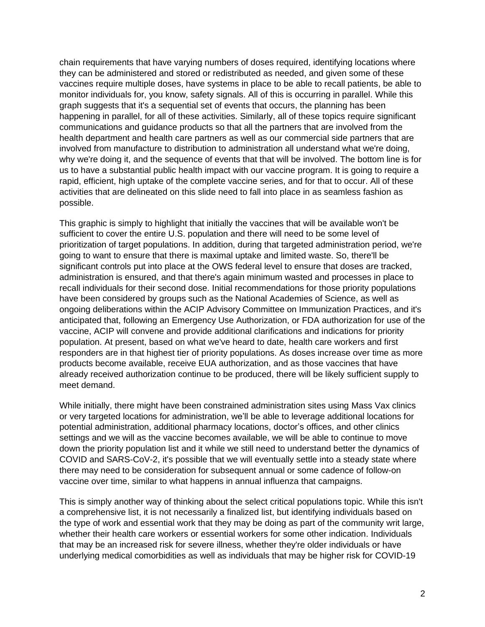chain requirements that have varying numbers of doses required, identifying locations where they can be administered and stored or redistributed as needed, and given some of these vaccines require multiple doses, have systems in place to be able to recall patients, be able to monitor individuals for, you know, safety signals. All of this is occurring in parallel. While this graph suggests that it's a sequential set of events that occurs, the planning has been happening in parallel, for all of these activities. Similarly, all of these topics require significant communications and guidance products so that all the partners that are involved from the health department and health care partners as well as our commercial side partners that are involved from manufacture to distribution to administration all understand what we're doing, why we're doing it, and the sequence of events that that will be involved. The bottom line is for us to have a substantial public health impact with our vaccine program. It is going to require a rapid, efficient, high uptake of the complete vaccine series, and for that to occur. All of these activities that are delineated on this slide need to fall into place in as seamless fashion as possible.

This graphic is simply to highlight that initially the vaccines that will be available won't be sufficient to cover the entire U.S. population and there will need to be some level of prioritization of target populations. In addition, during that targeted administration period, we're going to want to ensure that there is maximal uptake and limited waste. So, there'll be significant controls put into place at the OWS federal level to ensure that doses are tracked, administration is ensured, and that there's again minimum wasted and processes in place to recall individuals for their second dose. Initial recommendations for those priority populations have been considered by groups such as the National Academies of Science, as well as ongoing deliberations within the ACIP Advisory Committee on Immunization Practices, and it's anticipated that, following an Emergency Use Authorization, or FDA authorization for use of the vaccine, ACIP will convene and provide additional clarifications and indications for priority population. At present, based on what we've heard to date, health care workers and first responders are in that highest tier of priority populations. As doses increase over time as more products become available, receive EUA authorization, and as those vaccines that have already received authorization continue to be produced, there will be likely sufficient supply to meet demand.

While initially, there might have been constrained administration sites using Mass Vax clinics or very targeted locations for administration, we'll be able to leverage additional locations for potential administration, additional pharmacy locations, doctor's offices, and other clinics settings and we will as the vaccine becomes available, we will be able to continue to move down the priority population list and it while we still need to understand better the dynamics of COVID and SARS-CoV-2, it's possible that we will eventually settle into a steady state where there may need to be consideration for subsequent annual or some cadence of follow-on vaccine over time, similar to what happens in annual influenza that campaigns.

This is simply another way of thinking about the select critical populations topic. While this isn't a comprehensive list, it is not necessarily a finalized list, but identifying individuals based on the type of work and essential work that they may be doing as part of the community writ large, whether their health care workers or essential workers for some other indication. Individuals that may be an increased risk for severe illness, whether they're older individuals or have underlying medical comorbidities as well as individuals that may be higher risk for COVID-19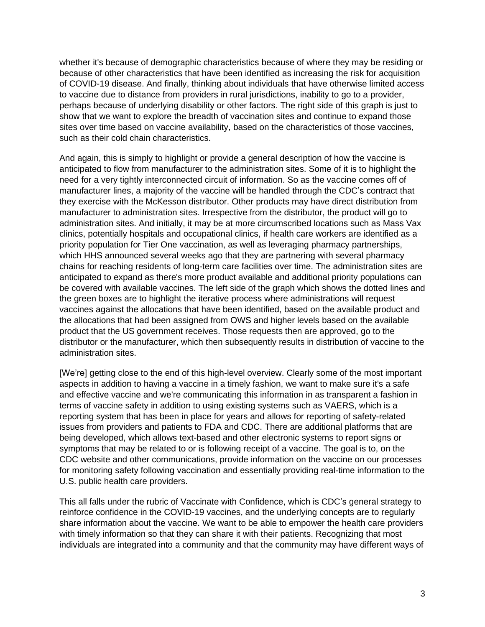whether it's because of demographic characteristics because of where they may be residing or because of other characteristics that have been identified as increasing the risk for acquisition of COVID-19 disease. And finally, thinking about individuals that have otherwise limited access to vaccine due to distance from providers in rural jurisdictions, inability to go to a provider, perhaps because of underlying disability or other factors. The right side of this graph is just to show that we want to explore the breadth of vaccination sites and continue to expand those sites over time based on vaccine availability, based on the characteristics of those vaccines, such as their cold chain characteristics.

And again, this is simply to highlight or provide a general description of how the vaccine is anticipated to flow from manufacturer to the administration sites. Some of it is to highlight the need for a very tightly interconnected circuit of information. So as the vaccine comes off of manufacturer lines, a majority of the vaccine will be handled through the CDC's contract that they exercise with the McKesson distributor. Other products may have direct distribution from manufacturer to administration sites. Irrespective from the distributor, the product will go to administration sites. And initially, it may be at more circumscribed locations such as Mass Vax clinics, potentially hospitals and occupational clinics, if health care workers are identified as a priority population for Tier One vaccination, as well as leveraging pharmacy partnerships, which HHS announced several weeks ago that they are partnering with several pharmacy chains for reaching residents of long-term care facilities over time. The administration sites are anticipated to expand as there's more product available and additional priority populations can be covered with available vaccines. The left side of the graph which shows the dotted lines and the green boxes are to highlight the iterative process where administrations will request vaccines against the allocations that have been identified, based on the available product and the allocations that had been assigned from OWS and higher levels based on the available product that the US government receives. Those requests then are approved, go to the distributor or the manufacturer, which then subsequently results in distribution of vaccine to the administration sites.

[We're] getting close to the end of this high-level overview. Clearly some of the most important aspects in addition to having a vaccine in a timely fashion, we want to make sure it's a safe and effective vaccine and we're communicating this information in as transparent a fashion in terms of vaccine safety in addition to using existing systems such as VAERS, which is a reporting system that has been in place for years and allows for reporting of safety-related issues from providers and patients to FDA and CDC. There are additional platforms that are being developed, which allows text-based and other electronic systems to report signs or symptoms that may be related to or is following receipt of a vaccine. The goal is to, on the CDC website and other communications, provide information on the vaccine on our processes for monitoring safety following vaccination and essentially providing real-time information to the U.S. public health care providers.

This all falls under the rubric of Vaccinate with Confidence, which is CDC's general strategy to reinforce confidence in the COVID-19 vaccines, and the underlying concepts are to regularly share information about the vaccine. We want to be able to empower the health care providers with timely information so that they can share it with their patients. Recognizing that most individuals are integrated into a community and that the community may have different ways of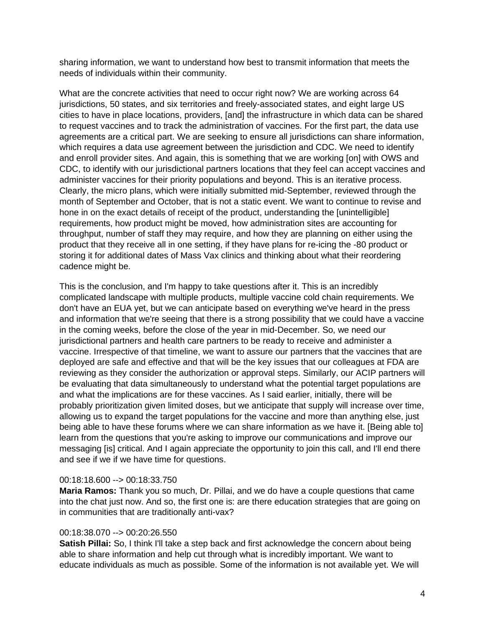sharing information, we want to understand how best to transmit information that meets the needs of individuals within their community.

What are the concrete activities that need to occur right now? We are working across 64 jurisdictions, 50 states, and six territories and freely-associated states, and eight large US cities to have in place locations, providers, [and] the infrastructure in which data can be shared to request vaccines and to track the administration of vaccines. For the first part, the data use agreements are a critical part. We are seeking to ensure all jurisdictions can share information, which requires a data use agreement between the jurisdiction and CDC. We need to identify and enroll provider sites. And again, this is something that we are working [on] with OWS and CDC, to identify with our jurisdictional partners locations that they feel can accept vaccines and administer vaccines for their priority populations and beyond. This is an iterative process. Clearly, the micro plans, which were initially submitted mid-September, reviewed through the month of September and October, that is not a static event. We want to continue to revise and hone in on the exact details of receipt of the product, understanding the [unintelligible] requirements, how product might be moved, how administration sites are accounting for throughput, number of staff they may require, and how they are planning on either using the product that they receive all in one setting, if they have plans for re-icing the -80 product or storing it for additional dates of Mass Vax clinics and thinking about what their reordering cadence might be.

This is the conclusion, and I'm happy to take questions after it. This is an incredibly complicated landscape with multiple products, multiple vaccine cold chain requirements. We don't have an EUA yet, but we can anticipate based on everything we've heard in the press and information that we're seeing that there is a strong possibility that we could have a vaccine in the coming weeks, before the close of the year in mid-December. So, we need our jurisdictional partners and health care partners to be ready to receive and administer a vaccine. Irrespective of that timeline, we want to assure our partners that the vaccines that are deployed are safe and effective and that will be the key issues that our colleagues at FDA are reviewing as they consider the authorization or approval steps. Similarly, our ACIP partners will be evaluating that data simultaneously to understand what the potential target populations are and what the implications are for these vaccines. As I said earlier, initially, there will be probably prioritization given limited doses, but we anticipate that supply will increase over time, allowing us to expand the target populations for the vaccine and more than anything else, just being able to have these forums where we can share information as we have it. [Being able to] learn from the questions that you're asking to improve our communications and improve our messaging [is] critical. And I again appreciate the opportunity to join this call, and I'll end there and see if we if we have time for questions.

#### 00:18:18.600 --> 00:18:33.750

**Maria Ramos:** Thank you so much, Dr. Pillai, and we do have a couple questions that came into the chat just now. And so, the first one is: are there education strategies that are going on in communities that are traditionally anti-vax?

# 00:18:38.070 --> 00:20:26.550

**Satish Pillai:** So, I think I'll take a step back and first acknowledge the concern about being able to share information and help cut through what is incredibly important. We want to educate individuals as much as possible. Some of the information is not available yet. We will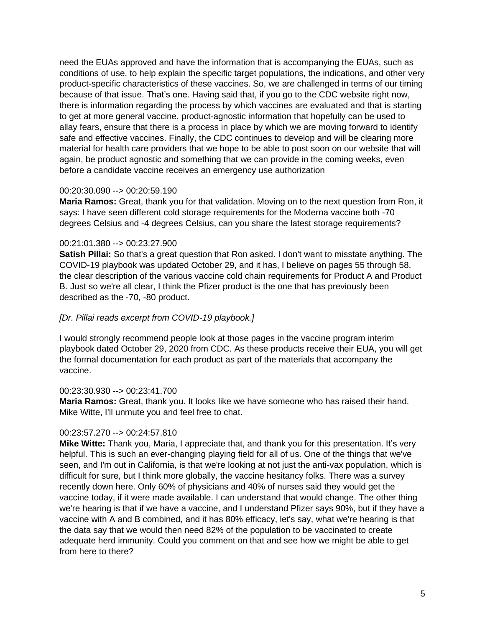need the EUAs approved and have the information that is accompanying the EUAs, such as conditions of use, to help explain the specific target populations, the indications, and other very product-specific characteristics of these vaccines. So, we are challenged in terms of our timing because of that issue. That's one. Having said that, if you go to the CDC website right now, there is information regarding the process by which vaccines are evaluated and that is starting to get at more general vaccine, product-agnostic information that hopefully can be used to allay fears, ensure that there is a process in place by which we are moving forward to identify safe and effective vaccines. Finally, the CDC continues to develop and will be clearing more material for health care providers that we hope to be able to post soon on our website that will again, be product agnostic and something that we can provide in the coming weeks, even before a candidate vaccine receives an emergency use authorization

## 00:20:30.090 --> 00:20:59.190

**Maria Ramos:** Great, thank you for that validation. Moving on to the next question from Ron, it says: I have seen different cold storage requirements for the Moderna vaccine both -70 degrees Celsius and -4 degrees Celsius, can you share the latest storage requirements?

# 00:21:01.380 --> 00:23:27.900

**Satish Pillai:** So that's a great question that Ron asked. I don't want to misstate anything. The COVID-19 playbook was updated October 29, and it has, I believe on pages 55 through 58, the clear description of the various vaccine cold chain requirements for Product A and Product B. Just so we're all clear, I think the Pfizer product is the one that has previously been described as the -70, -80 product.

# *[Dr. Pillai reads excerpt from COVID-19 playbook.]*

I would strongly recommend people look at those pages in the vaccine program interim playbook dated October 29, 2020 from CDC. As these products receive their EUA, you will get the formal documentation for each product as part of the materials that accompany the vaccine.

# 00:23:30.930 --> 00:23:41.700

**Maria Ramos:** Great, thank you. It looks like we have someone who has raised their hand. Mike Witte, I'll unmute you and feel free to chat.

# 00:23:57.270 --> 00:24:57.810

**Mike Witte:** Thank you, Maria, I appreciate that, and thank you for this presentation. It's very helpful. This is such an ever-changing playing field for all of us. One of the things that we've seen, and I'm out in California, is that we're looking at not just the anti-vax population, which is difficult for sure, but I think more globally, the vaccine hesitancy folks. There was a survey recently down here. Only 60% of physicians and 40% of nurses said they would get the vaccine today, if it were made available. I can understand that would change. The other thing we're hearing is that if we have a vaccine, and I understand Pfizer says 90%, but if they have a vaccine with A and B combined, and it has 80% efficacy, let's say, what we're hearing is that the data say that we would then need 82% of the population to be vaccinated to create adequate herd immunity. Could you comment on that and see how we might be able to get from here to there?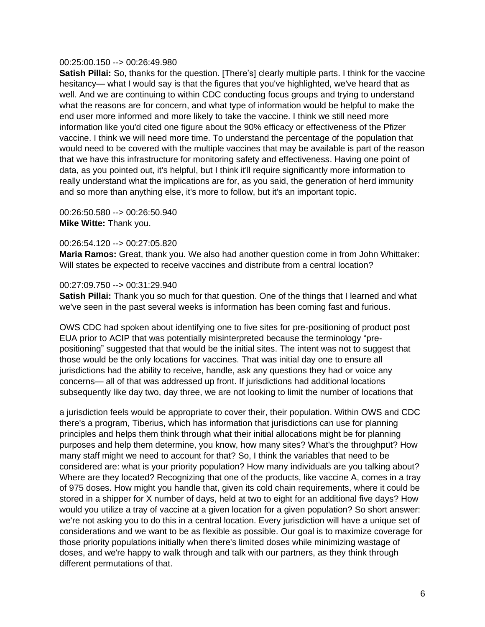## 00:25:00.150 --> 00:26:49.980

**Satish Pillai:** So, thanks for the question. [There's] clearly multiple parts. I think for the vaccine hesitancy— what I would say is that the figures that you've highlighted, we've heard that as well. And we are continuing to within CDC conducting focus groups and trying to understand what the reasons are for concern, and what type of information would be helpful to make the end user more informed and more likely to take the vaccine. I think we still need more information like you'd cited one figure about the 90% efficacy or effectiveness of the Pfizer vaccine. I think we will need more time. To understand the percentage of the population that would need to be covered with the multiple vaccines that may be available is part of the reason that we have this infrastructure for monitoring safety and effectiveness. Having one point of data, as you pointed out, it's helpful, but I think it'll require significantly more information to really understand what the implications are for, as you said, the generation of herd immunity and so more than anything else, it's more to follow, but it's an important topic.

00:26:50.580 --> 00:26:50.940 **Mike Witte:** Thank you.

#### 00:26:54.120 --> 00:27:05.820

**Maria Ramos:** Great, thank you. We also had another question come in from John Whittaker: Will states be expected to receive vaccines and distribute from a central location?

#### 00:27:09.750 --> 00:31:29.940

**Satish Pillai:** Thank you so much for that question. One of the things that I learned and what we've seen in the past several weeks is information has been coming fast and furious.

OWS CDC had spoken about identifying one to five sites for pre-positioning of product post EUA prior to ACIP that was potentially misinterpreted because the terminology "prepositioning" suggested that that would be the initial sites. The intent was not to suggest that those would be the only locations for vaccines. That was initial day one to ensure all jurisdictions had the ability to receive, handle, ask any questions they had or voice any concerns— all of that was addressed up front. If jurisdictions had additional locations subsequently like day two, day three, we are not looking to limit the number of locations that

a jurisdiction feels would be appropriate to cover their, their population. Within OWS and CDC there's a program, Tiberius, which has information that jurisdictions can use for planning principles and helps them think through what their initial allocations might be for planning purposes and help them determine, you know, how many sites? What's the throughput? How many staff might we need to account for that? So, I think the variables that need to be considered are: what is your priority population? How many individuals are you talking about? Where are they located? Recognizing that one of the products, like vaccine A, comes in a tray of 975 doses. How might you handle that, given its cold chain requirements, where it could be stored in a shipper for X number of days, held at two to eight for an additional five days? How would you utilize a tray of vaccine at a given location for a given population? So short answer: we're not asking you to do this in a central location. Every jurisdiction will have a unique set of considerations and we want to be as flexible as possible. Our goal is to maximize coverage for those priority populations initially when there's limited doses while minimizing wastage of doses, and we're happy to walk through and talk with our partners, as they think through different permutations of that.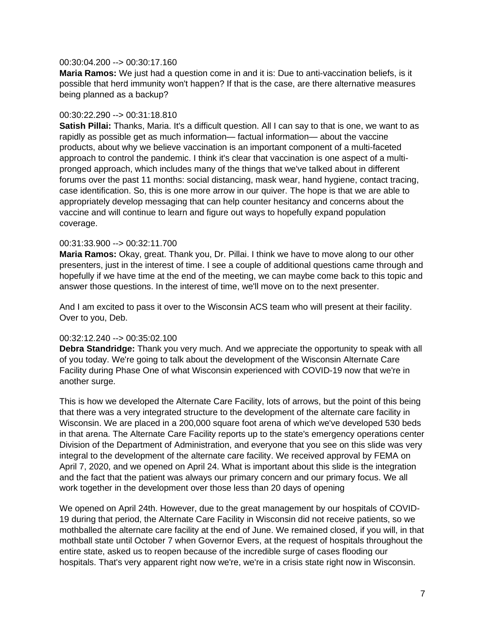#### 00:30:04.200 --> 00:30:17.160

**Maria Ramos:** We just had a question come in and it is: Due to anti-vaccination beliefs, is it possible that herd immunity won't happen? If that is the case, are there alternative measures being planned as a backup?

# 00:30:22.290 --> 00:31:18.810

**Satish Pillai:** Thanks, Maria. It's a difficult question. All I can say to that is one, we want to as rapidly as possible get as much information— factual information— about the vaccine products, about why we believe vaccination is an important component of a multi-faceted approach to control the pandemic. I think it's clear that vaccination is one aspect of a multipronged approach, which includes many of the things that we've talked about in different forums over the past 11 months: social distancing, mask wear, hand hygiene, contact tracing, case identification. So, this is one more arrow in our quiver. The hope is that we are able to appropriately develop messaging that can help counter hesitancy and concerns about the vaccine and will continue to learn and figure out ways to hopefully expand population coverage.

## 00:31:33.900 --> 00:32:11.700

**Maria Ramos:** Okay, great. Thank you, Dr. Pillai. I think we have to move along to our other presenters, just in the interest of time. I see a couple of additional questions came through and hopefully if we have time at the end of the meeting, we can maybe come back to this topic and answer those questions. In the interest of time, we'll move on to the next presenter.

And I am excited to pass it over to the Wisconsin ACS team who will present at their facility. Over to you, Deb.

# 00:32:12.240 --> 00:35:02.100

**Debra Standridge:** Thank you very much. And we appreciate the opportunity to speak with all of you today. We're going to talk about the development of the Wisconsin Alternate Care Facility during Phase One of what Wisconsin experienced with COVID-19 now that we're in another surge.

This is how we developed the Alternate Care Facility, lots of arrows, but the point of this being that there was a very integrated structure to the development of the alternate care facility in Wisconsin. We are placed in a 200,000 square foot arena of which we've developed 530 beds in that arena. The Alternate Care Facility reports up to the state's emergency operations center Division of the Department of Administration, and everyone that you see on this slide was very integral to the development of the alternate care facility. We received approval by FEMA on April 7, 2020, and we opened on April 24. What is important about this slide is the integration and the fact that the patient was always our primary concern and our primary focus. We all work together in the development over those less than 20 days of opening

We opened on April 24th. However, due to the great management by our hospitals of COVID-19 during that period, the Alternate Care Facility in Wisconsin did not receive patients, so we mothballed the alternate care facility at the end of June. We remained closed, if you will, in that mothball state until October 7 when Governor Evers, at the request of hospitals throughout the entire state, asked us to reopen because of the incredible surge of cases flooding our hospitals. That's very apparent right now we're, we're in a crisis state right now in Wisconsin.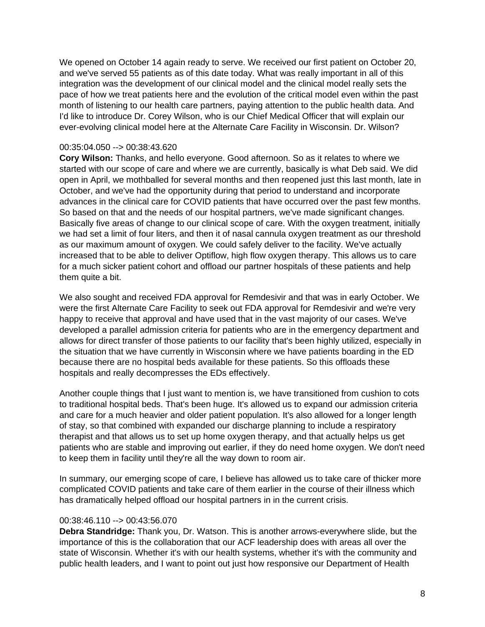We opened on October 14 again ready to serve. We received our first patient on October 20, and we've served 55 patients as of this date today. What was really important in all of this integration was the development of our clinical model and the clinical model really sets the pace of how we treat patients here and the evolution of the critical model even within the past month of listening to our health care partners, paying attention to the public health data. And I'd like to introduce Dr. Corey Wilson, who is our Chief Medical Officer that will explain our ever-evolving clinical model here at the Alternate Care Facility in Wisconsin. Dr. Wilson?

## 00:35:04.050 --> 00:38:43.620

**Cory Wilson:** Thanks, and hello everyone. Good afternoon. So as it relates to where we started with our scope of care and where we are currently, basically is what Deb said. We did open in April, we mothballed for several months and then reopened just this last month, late in October, and we've had the opportunity during that period to understand and incorporate advances in the clinical care for COVID patients that have occurred over the past few months. So based on that and the needs of our hospital partners, we've made significant changes. Basically five areas of change to our clinical scope of care. With the oxygen treatment, initially we had set a limit of four liters, and then it of nasal cannula oxygen treatment as our threshold as our maximum amount of oxygen. We could safely deliver to the facility. We've actually increased that to be able to deliver Optiflow, high flow oxygen therapy. This allows us to care for a much sicker patient cohort and offload our partner hospitals of these patients and help them quite a bit.

We also sought and received FDA approval for Remdesivir and that was in early October. We were the first Alternate Care Facility to seek out FDA approval for Remdesivir and we're very happy to receive that approval and have used that in the vast majority of our cases. We've developed a parallel admission criteria for patients who are in the emergency department and allows for direct transfer of those patients to our facility that's been highly utilized, especially in the situation that we have currently in Wisconsin where we have patients boarding in the ED because there are no hospital beds available for these patients. So this offloads these hospitals and really decompresses the EDs effectively.

Another couple things that I just want to mention is, we have transitioned from cushion to cots to traditional hospital beds. That's been huge. It's allowed us to expand our admission criteria and care for a much heavier and older patient population. It's also allowed for a longer length of stay, so that combined with expanded our discharge planning to include a respiratory therapist and that allows us to set up home oxygen therapy, and that actually helps us get patients who are stable and improving out earlier, if they do need home oxygen. We don't need to keep them in facility until they're all the way down to room air.

In summary, our emerging scope of care, I believe has allowed us to take care of thicker more complicated COVID patients and take care of them earlier in the course of their illness which has dramatically helped offload our hospital partners in in the current crisis.

#### 00:38:46.110 --> 00:43:56.070

**Debra Standridge:** Thank you, Dr. Watson. This is another arrows-everywhere slide, but the importance of this is the collaboration that our ACF leadership does with areas all over the state of Wisconsin. Whether it's with our health systems, whether it's with the community and public health leaders, and I want to point out just how responsive our Department of Health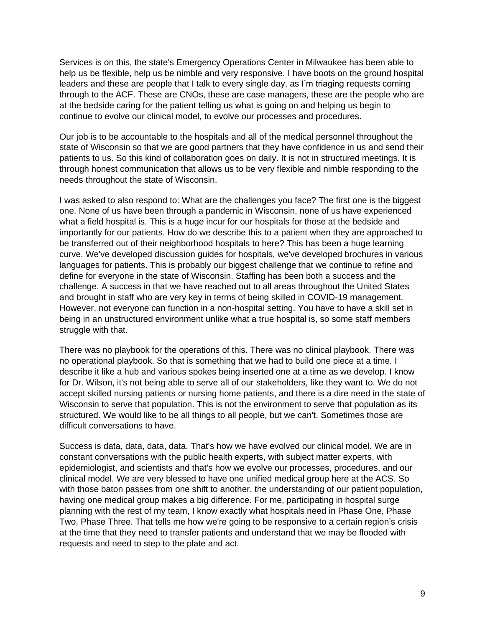Services is on this, the state's Emergency Operations Center in Milwaukee has been able to help us be flexible, help us be nimble and very responsive. I have boots on the ground hospital leaders and these are people that I talk to every single day, as I'm triaging requests coming through to the ACF. These are CNOs, these are case managers, these are the people who are at the bedside caring for the patient telling us what is going on and helping us begin to continue to evolve our clinical model, to evolve our processes and procedures.

Our job is to be accountable to the hospitals and all of the medical personnel throughout the state of Wisconsin so that we are good partners that they have confidence in us and send their patients to us. So this kind of collaboration goes on daily. It is not in structured meetings. It is through honest communication that allows us to be very flexible and nimble responding to the needs throughout the state of Wisconsin.

I was asked to also respond to: What are the challenges you face? The first one is the biggest one. None of us have been through a pandemic in Wisconsin, none of us have experienced what a field hospital is. This is a huge incur for our hospitals for those at the bedside and importantly for our patients. How do we describe this to a patient when they are approached to be transferred out of their neighborhood hospitals to here? This has been a huge learning curve. We've developed discussion guides for hospitals, we've developed brochures in various languages for patients. This is probably our biggest challenge that we continue to refine and define for everyone in the state of Wisconsin. Staffing has been both a success and the challenge. A success in that we have reached out to all areas throughout the United States and brought in staff who are very key in terms of being skilled in COVID-19 management. However, not everyone can function in a non-hospital setting. You have to have a skill set in being in an unstructured environment unlike what a true hospital is, so some staff members struggle with that.

There was no playbook for the operations of this. There was no clinical playbook. There was no operational playbook. So that is something that we had to build one piece at a time. I describe it like a hub and various spokes being inserted one at a time as we develop. I know for Dr. Wilson, it's not being able to serve all of our stakeholders, like they want to. We do not accept skilled nursing patients or nursing home patients, and there is a dire need in the state of Wisconsin to serve that population. This is not the environment to serve that population as its structured. We would like to be all things to all people, but we can't. Sometimes those are difficult conversations to have.

Success is data, data, data, data. That's how we have evolved our clinical model. We are in constant conversations with the public health experts, with subject matter experts, with epidemiologist, and scientists and that's how we evolve our processes, procedures, and our clinical model. We are very blessed to have one unified medical group here at the ACS. So with those baton passes from one shift to another, the understanding of our patient population, having one medical group makes a big difference. For me, participating in hospital surge planning with the rest of my team, I know exactly what hospitals need in Phase One, Phase Two, Phase Three. That tells me how we're going to be responsive to a certain region's crisis at the time that they need to transfer patients and understand that we may be flooded with requests and need to step to the plate and act.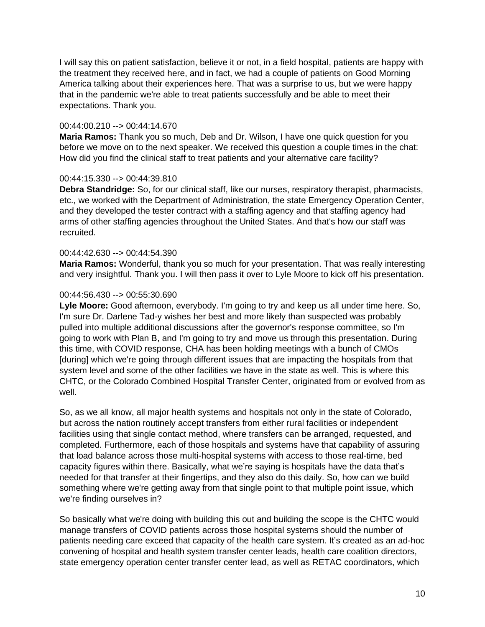I will say this on patient satisfaction, believe it or not, in a field hospital, patients are happy with the treatment they received here, and in fact, we had a couple of patients on Good Morning America talking about their experiences here. That was a surprise to us, but we were happy that in the pandemic we're able to treat patients successfully and be able to meet their expectations. Thank you.

## 00:44:00.210 --> 00:44:14.670

**Maria Ramos:** Thank you so much, Deb and Dr. Wilson, I have one quick question for you before we move on to the next speaker. We received this question a couple times in the chat: How did you find the clinical staff to treat patients and your alternative care facility?

# 00:44:15.330 --> 00:44:39.810

**Debra Standridge:** So, for our clinical staff, like our nurses, respiratory therapist, pharmacists, etc., we worked with the Department of Administration, the state Emergency Operation Center, and they developed the tester contract with a staffing agency and that staffing agency had arms of other staffing agencies throughout the United States. And that's how our staff was recruited.

## 00:44:42.630 --> 00:44:54.390

**Maria Ramos:** Wonderful, thank you so much for your presentation. That was really interesting and very insightful. Thank you. I will then pass it over to Lyle Moore to kick off his presentation.

## 00:44:56.430 --> 00:55:30.690

**Lyle Moore:** Good afternoon, everybody. I'm going to try and keep us all under time here. So, I'm sure Dr. Darlene Tad-y wishes her best and more likely than suspected was probably pulled into multiple additional discussions after the governor's response committee, so I'm going to work with Plan B, and I'm going to try and move us through this presentation. During this time, with COVID response, CHA has been holding meetings with a bunch of CMOs [during] which we're going through different issues that are impacting the hospitals from that system level and some of the other facilities we have in the state as well. This is where this CHTC, or the Colorado Combined Hospital Transfer Center, originated from or evolved from as well.

So, as we all know, all major health systems and hospitals not only in the state of Colorado, but across the nation routinely accept transfers from either rural facilities or independent facilities using that single contact method, where transfers can be arranged, requested, and completed. Furthermore, each of those hospitals and systems have that capability of assuring that load balance across those multi-hospital systems with access to those real-time, bed capacity figures within there. Basically, what we're saying is hospitals have the data that's needed for that transfer at their fingertips, and they also do this daily. So, how can we build something where we're getting away from that single point to that multiple point issue, which we're finding ourselves in?

So basically what we're doing with building this out and building the scope is the CHTC would manage transfers of COVID patients across those hospital systems should the number of patients needing care exceed that capacity of the health care system. It's created as an ad-hoc convening of hospital and health system transfer center leads, health care coalition directors, state emergency operation center transfer center lead, as well as RETAC coordinators, which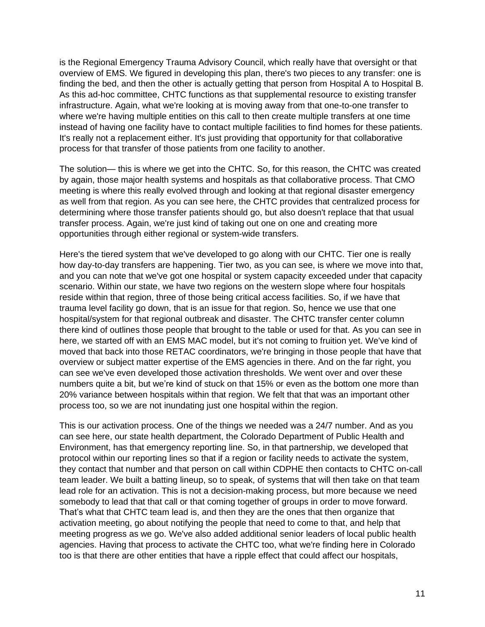is the Regional Emergency Trauma Advisory Council, which really have that oversight or that overview of EMS. We figured in developing this plan, there's two pieces to any transfer: one is finding the bed, and then the other is actually getting that person from Hospital A to Hospital B. As this ad-hoc committee, CHTC functions as that supplemental resource to existing transfer infrastructure. Again, what we're looking at is moving away from that one-to-one transfer to where we're having multiple entities on this call to then create multiple transfers at one time instead of having one facility have to contact multiple facilities to find homes for these patients. It's really not a replacement either. It's just providing that opportunity for that collaborative process for that transfer of those patients from one facility to another.

The solution— this is where we get into the CHTC. So, for this reason, the CHTC was created by again, those major health systems and hospitals as that collaborative process. That CMO meeting is where this really evolved through and looking at that regional disaster emergency as well from that region. As you can see here, the CHTC provides that centralized process for determining where those transfer patients should go, but also doesn't replace that that usual transfer process. Again, we're just kind of taking out one on one and creating more opportunities through either regional or system-wide transfers.

Here's the tiered system that we've developed to go along with our CHTC. Tier one is really how day-to-day transfers are happening. Tier two, as you can see, is where we move into that, and you can note that we've got one hospital or system capacity exceeded under that capacity scenario. Within our state, we have two regions on the western slope where four hospitals reside within that region, three of those being critical access facilities. So, if we have that trauma level facility go down, that is an issue for that region. So, hence we use that one hospital/system for that regional outbreak and disaster. The CHTC transfer center column there kind of outlines those people that brought to the table or used for that. As you can see in here, we started off with an EMS MAC model, but it's not coming to fruition yet. We've kind of moved that back into those RETAC coordinators, we're bringing in those people that have that overview or subject matter expertise of the EMS agencies in there. And on the far right, you can see we've even developed those activation thresholds. We went over and over these numbers quite a bit, but we're kind of stuck on that 15% or even as the bottom one more than 20% variance between hospitals within that region. We felt that that was an important other process too, so we are not inundating just one hospital within the region.

This is our activation process. One of the things we needed was a 24/7 number. And as you can see here, our state health department, the Colorado Department of Public Health and Environment, has that emergency reporting line. So, in that partnership, we developed that protocol within our reporting lines so that if a region or facility needs to activate the system, they contact that number and that person on call within CDPHE then contacts to CHTC on-call team leader. We built a batting lineup, so to speak, of systems that will then take on that team lead role for an activation. This is not a decision-making process, but more because we need somebody to lead that that call or that coming together of groups in order to move forward. That's what that CHTC team lead is, and then they are the ones that then organize that activation meeting, go about notifying the people that need to come to that, and help that meeting progress as we go. We've also added additional senior leaders of local public health agencies. Having that process to activate the CHTC too, what we're finding here in Colorado too is that there are other entities that have a ripple effect that could affect our hospitals,